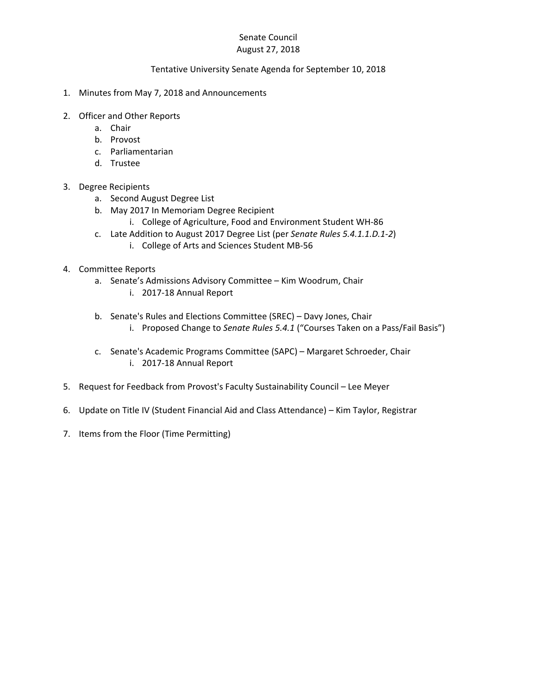## Senate Council August 27, 2018

## Tentative University Senate Agenda for September 10, 2018

- 1. Minutes from May 7, 2018 and Announcements
- 2. Officer and Other Reports
	- a. Chair
	- b. Provost
	- c. Parliamentarian
	- d. Trustee

## 3. Degree Recipients

- a. Second August Degree List
- b. May 2017 In Memoriam Degree Recipient
	- i. College of Agriculture, Food and Environment Student WH‐86
- c. Late Addition to August 2017 Degree List (per *Senate Rules 5.4.1.1.D.1‐2*)
	- i. College of Arts and Sciences Student MB‐56
- 4. Committee Reports
	- a. Senate's Admissions Advisory Committee Kim Woodrum, Chair
		- i. 2017‐18 Annual Report
	- b. Senate's Rules and Elections Committee (SREC) Davy Jones, Chair i. Proposed Change to *Senate Rules 5.4.1* ("Courses Taken on a Pass/Fail Basis")
	- c. Senate's Academic Programs Committee (SAPC) Margaret Schroeder, Chair i. 2017‐18 Annual Report
- 5. Request for Feedback from Provost's Faculty Sustainability Council Lee Meyer
- 6. Update on Title IV (Student Financial Aid and Class Attendance) Kim Taylor, Registrar
- 7. Items from the Floor (Time Permitting)